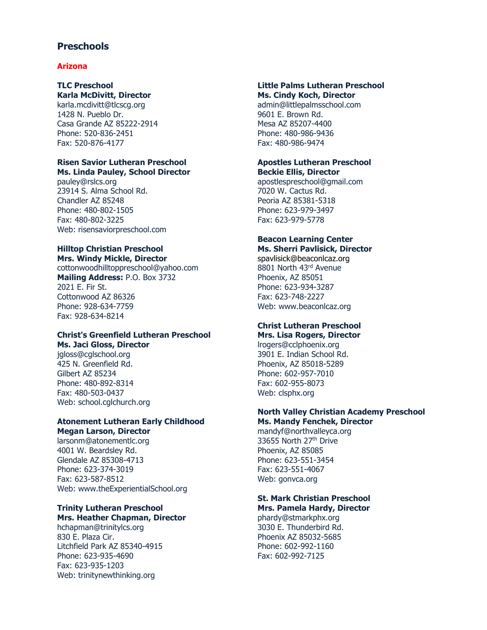# **Preschools**

## **Arizona**

#### **TLC Preschool Karla McDivitt, Director**

karla.mcdivitt@tlcscg.org 1428 N. Pueblo Dr. Casa Grande AZ 85222-2914 Phone: 520-836-2451 Fax: 520-876-4177

# **Risen Savior Lutheran Preschool Ms. Linda Pauley, School Director**

pauley@rslcs.org 23914 S. Alma School Rd. Chandler AZ 85248 Phone: 480-802-1505 Fax: 480-802-3225 Web: risensaviorpreschool.com

# **Hilltop Christian Preschool**

**Mrs. Windy Mickle, Director**  cottonwoodhilltoppreschool@yahoo.com **Mailing Address:** P.O. Box 3732 2021 E. Fir St. Cottonwood AZ 86326 Phone: 928-634-7759 Fax: 928-634-8214

# **Christ's Greenfield Lutheran Preschool Ms. Jaci Gloss, Director**

jgloss@cglschool.org 425 N. Greenfield Rd. Gilbert AZ 85234 Phone: 480-892-8314 Fax: 480-503-0437 Web: school.cglchurch.org

### **Atonement Lutheran Early Childhood Megan Larson, Director**

larsonm@atonementlc.org 4001 W. Beardsley Rd. Glendale AZ 85308-4713 Phone: 623-374-3019 Fax: 623-587-8512 Web: www.theExperientialSchool.org

# **Trinity Lutheran Preschool Mrs. Heather Chapman, Director**

hchapman@trinitylcs.org 830 E. Plaza Cir. Litchfield Park AZ 85340-4915 Phone: 623-935-4690 Fax: 623-935-1203 Web: trinitynewthinking.org

#### **Little Palms Lutheran Preschool Ms. Cindy Koch, Director**

admin@littlepalmsschool.com 9601 E. Brown Rd. Mesa AZ 85207-4400 Phone: 480-986-9436 Fax: 480-986-9474

# **Apostles Lutheran Preschool Beckie Ellis, Director**

apostlespreschool@gmail.com 7020 W. Cactus Rd. Peoria AZ 85381-5318 Phone: 623-979-3497 Fax: 623-979-5778

## **Beacon Learning Center Ms. Sherri Pavlisick, Director**

spavlisick@beaconlcaz.org 8801 North 43rd Avenue Phoenix, AZ 85051 Phone: 623-934-3287 Fax: 623-748-2227 Web: www.beaconlcaz.org

#### **Christ Lutheran Preschool Mrs. Lisa Rogers, Director**

lrogers@cclphoenix.org 3901 E. Indian School Rd. Phoenix, AZ 85018-5289 Phone: 602-957-7010 Fax: 602-955-8073 Web: clsphx.org

#### **North Valley Christian Academy Preschool Ms. Mandy Fenchek, Director**

mandyf@northvalleyca.org 33655 North 27<sup>th</sup> Drive Phoenix, AZ 85085 Phone: 623-551-3454 Fax: 623-551-4067 Web: gonvca.org

#### **St. Mark Christian Preschool Mrs. Pamela Hardy, Director**

phardy@stmarkphx.org 3030 E. Thunderbird Rd. Phoenix AZ 85032-5685 Phone: 602-992-1160 Fax: 602-992-7125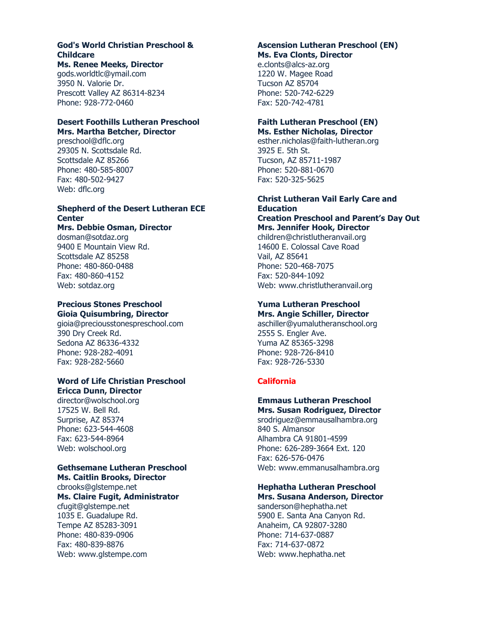#### **God's World Christian Preschool & Childcare Ms. Renee Meeks, Director**

gods.worldtlc@ymail.com 3950 N. Valorie Dr. Prescott Valley AZ 86314-8234 Phone: 928-772-0460

## **Desert Foothills Lutheran Preschool Mrs. Martha Betcher, Director**

preschool@dflc.org 29305 N. Scottsdale Rd. Scottsdale AZ 85266 Phone: 480-585-8007 Fax: 480-502-9427 Web: dflc.org

# **Shepherd of the Desert Lutheran ECE Center**

# **Mrs. Debbie Osman, Director**

dosman@sotdaz.org 9400 E Mountain View Rd. Scottsdale AZ 85258 Phone: 480-860-0488 Fax: 480-860-4152 Web: sotdaz.org

# **Precious Stones Preschool Gioia Quisumbring, Director**

gioia@preciousstonespreschool.com 390 Dry Creek Rd. Sedona AZ 86336-4332 Phone: 928-282-4091 Fax: 928-282-5660

#### **Word of Life Christian Preschool Ericca Dunn, Director**

director@wolschool.org 17525 W. Bell Rd. Surprise, AZ 85374 Phone: 623-544-4608 Fax: 623-544-8964 Web: wolschool.org

# **Gethsemane Lutheran Preschool**

**Ms. Caitlin Brooks, Director** cbrooks@glstempe.net **Ms. Claire Fugit, Administrator** cfugit@glstempe.net 1035 E. Guadalupe Rd. Tempe AZ 85283-3091 Phone: 480-839-0906 Fax: 480-839-8876 Web: www.glstempe.com

#### **Ascension Lutheran Preschool (EN) Ms. Eva Clonts, Director**

e.clonts@alcs-az.org 1220 W. Magee Road Tucson AZ 85704 Phone: 520-742-6229 Fax: 520-742-4781

# **Faith Lutheran Preschool (EN) Ms. Esther Nicholas, Director**

esther.nicholas@faith-lutheran.org 3925 E. 5th St. Tucson, AZ 85711-1987 Phone: 520-881-0670 Fax: 520-325-5625

# **Christ Lutheran Vail Early Care and Education Creation Preschool and Parent's Day Out**

**Mrs. Jennifer Hook, Director** children@christlutheranvail.org 14600 E. Colossal Cave Road Vail, AZ 85641 Phone: 520-468-7075 Fax: 520-844-1092 Web: www.christlutheranvail.org

### **Yuma Lutheran Preschool Mrs. Angie Schiller, Director**

aschiller@yumalutheranschool.org 2555 S. Engler Ave. Yuma AZ 85365-3298 Phone: 928-726-8410 Fax: 928-726-5330

# **California**

# **Emmaus Lutheran Preschool Mrs. Susan Rodriguez, Director**

srodriguez@emmausalhambra.org 840 S. Almansor Alhambra CA 91801-4599 Phone: 626-289-3664 Ext. 120 Fax: 626-576-0476 Web: www.emmanusalhambra.org

### **Hephatha Lutheran Preschool Mrs. Susana Anderson, Director**

sanderson@hephatha.net 5900 E. Santa Ana Canyon Rd. Anaheim, CA 92807-3280 Phone: 714-637-0887 Fax: 714-637-0872 Web: www.hephatha.net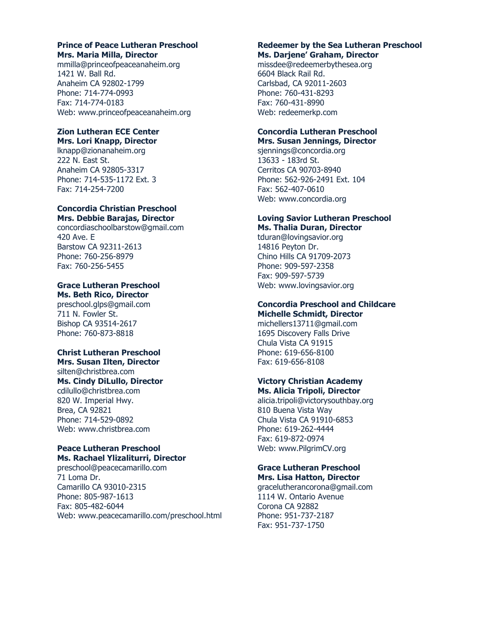# **Prince of Peace Lutheran Preschool Mrs. Maria Milla, Director**

mmilla@princeofpeaceanaheim.org 1421 W. Ball Rd. Anaheim CA 92802-1799 Phone: 714-774-0993 Fax: 714-774-0183 Web: www.princeofpeaceanaheim.org

#### **Zion Lutheran ECE Center Mrs. Lori Knapp, Director**

lknapp@zionanaheim.org 222 N. East St. Anaheim CA 92805-3317 Phone: 714-535-1172 Ext. 3 Fax: 714-254-7200

### **Concordia Christian Preschool Mrs. Debbie Barajas, Director**

concordiaschoolbarstow@gmail.com 420 Ave. E Barstow CA 92311-2613 Phone: 760-256-8979 Fax: 760-256-5455

#### **Grace Lutheran Preschool Ms. Beth Rico, Director**

preschool.glps@gmail.com 711 N. Fowler St. Bishop CA 93514-2617 Phone: 760-873-8818

#### **Christ Lutheran Preschool Mrs. Susan Ilten, Director**

silten@christbrea.com **Ms. Cindy DiLullo, Director** cdilullo@christbrea.com 820 W. Imperial Hwy. Brea, CA 92821 Phone: 714-529-0892 Web: www.christbrea.com

# **Peace Lutheran Preschool Ms. Rachael Ylizaliturri, Director**

preschool@peacecamarillo.com 71 Loma Dr. Camarillo CA 93010-2315 Phone: 805-987-1613 Fax: 805-482-6044 Web: www.peacecamarillo.com/preschool.html

#### **Redeemer by the Sea Lutheran Preschool Ms. Darjene' Graham, Director**

missdee@redeemerbythesea.org 6604 Black Rail Rd. Carlsbad, CA 92011-2603 Phone: 760-431-8293 Fax: 760-431-8990 Web: redeemerkp.com

## **Concordia Lutheran Preschool Mrs. Susan Jennings, Director**

sjennings@concordia.org 13633 - 183rd St. Cerritos CA 90703-8940 Phone: 562-926-2491 Ext. 104 Fax: 562-407-0610 Web: www.concordia.org

### **Loving Savior Lutheran Preschool Ms. Thalia Duran, Director**

tduran@lovingsavior.org 14816 Peyton Dr. Chino Hills CA 91709-2073 Phone: 909-597-2358 Fax: 909-597-5739 Web: www.lovingsavior.org

#### **Concordia Preschool and Childcare Michelle Schmidt, Director**

michellers13711@gmail.com 1695 Discovery Falls Drive Chula Vista CA 91915 Phone: 619-656-8100 Fax: 619-656-8108

# **Victory Christian Academy**

**Ms. Alicia Tripoli, Director** alicia.tripoli@victorysouthbay.org 810 Buena Vista Way Chula Vista CA 91910-6853 Phone: 619-262-4444 Fax: 619-872-0974 Web: www.PilgrimCV.org

#### **Grace Lutheran Preschool Mrs. Lisa Hatton, Director**

gracelutherancorona@gmail.com 1114 W. Ontario Avenue Corona CA 92882 Phone: 951-737-2187 Fax: 951-737-1750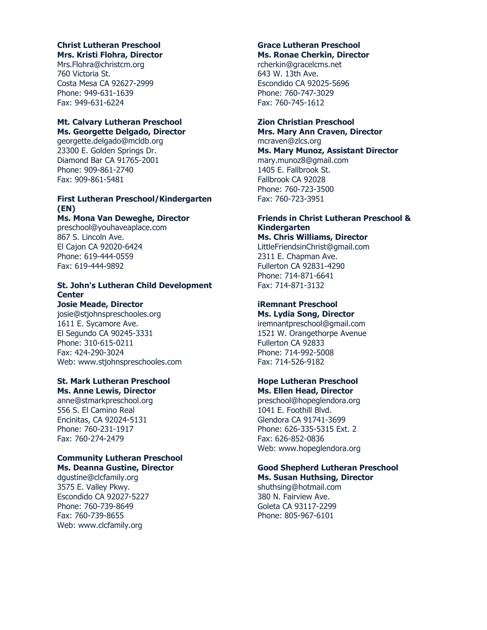#### **Christ Lutheran Preschool Mrs. Kristi Flohra, Director**

Mrs.Flohra@christcm.org 760 Victoria St. Costa Mesa CA 92627-2999 Phone: 949-631-1639 Fax: 949-631-6224

# **Mt. Calvary Lutheran Preschool Ms. Georgette Delgado, Director**

georgette.delgado@mcldb.org 23300 E. Golden Springs Dr. Diamond Bar CA 91765-2001 Phone: 909-861-2740 Fax: 909-861-5481

# **First Lutheran Preschool/Kindergarten (EN)**

### **Ms. Mona Van Deweghe, Director**

preschool@youhaveaplace.com 867 S. Lincoln Ave. El Cajon CA 92020-6424 Phone: 619-444-0559 Fax: 619-444-9892

# **St. John's Lutheran Child Development Center**

# **Josie Meade, Director**

josie@stjohnspreschooles.org 1611 E. Sycamore Ave. El Segundo CA 90245-3331 Phone: 310-615-0211 Fax: 424-290-3024 Web: www.stjohnspreschooles.com

# **St. Mark Lutheran Preschool**

**Ms. Anne Lewis, Director** anne@stmarkpreschool.org 556 S. El Camino Real Encinitas, CA 92024-5131 Phone: 760-231-1917 Fax: 760-274-2479

# **Community Lutheran Preschool Ms. Deanna Gustine, Director**

dgustine@clcfamily.org 3575 E. Valley Pkwy. Escondido CA 92027-5227 Phone: 760-739-8649 Fax: 760-739-8655 Web: www.clcfamily.org

#### **Grace Lutheran Preschool Ms. Ronae Cherkin, Director**

rcherkin@gracelcms.net 643 W. 13th Ave. Escondido CA 92025-5696 Phone: 760-747-3029 Fax: 760-745-1612

# **Zion Christian Preschool**

**Mrs. Mary Ann Craven, Director**  mcraven@zlcs.org

**Ms. Mary Munoz, Assistant Director** mary.munoz8@gmail.com 1405 E. Fallbrook St. Fallbrook CA 92028 Phone: 760-723-3500 Fax: 760-723-3951

#### **Friends in Christ Lutheran Preschool & Kindergarten Ms. Chris Williams, Director**

LittleFriendsinChrist@gmail.com 2311 E. Chapman Ave. Fullerton CA 92831-4290 Phone: 714-871-6641 Fax: 714-871-3132

#### **iRemnant Preschool Ms. Lydia Song, Director**

iremnantpreschool@gmail.com 1521 W. Orangethorpe Avenue Fullerton CA 92833 Phone: 714-992-5008 Fax: 714-526-9182

#### **Hope Lutheran Preschool Ms. Ellen Head, Director**

preschool@hopeglendora.org 1041 E. Foothill Blvd. Glendora CA 91741-3699 Phone: 626-335-5315 Ext. 2 Fax: 626-852-0836 Web: www.hopeglendora.org

#### **Good Shepherd Lutheran Preschool Ms. Susan Huthsing, Director**

shuthsing@hotmail.com 380 N. Fairview Ave. Goleta CA 93117-2299 Phone: 805-967-6101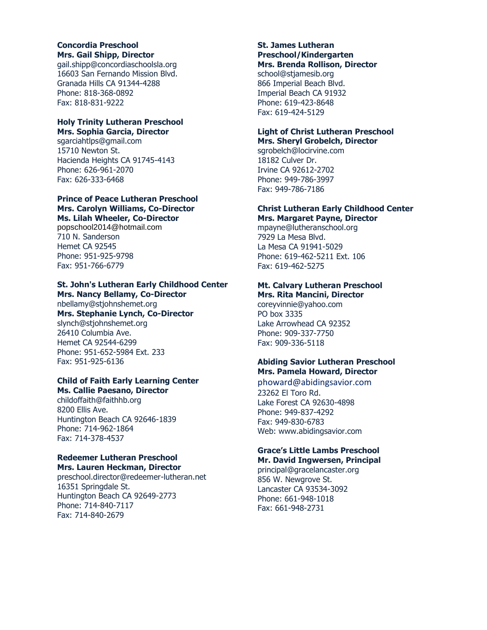## **Concordia Preschool Mrs. Gail Shipp, Director**

gail.shipp@concordiaschoolsla.org 16603 San Fernando Mission Blvd. Granada Hills CA 91344-4288 Phone: 818-368-0892 Fax: 818-831-9222

# **Holy Trinity Lutheran Preschool Mrs. Sophia Garcia, Director**

sgarciahtlps@gmail.com 15710 Newton St. Hacienda Heights CA 91745-4143 Phone: 626-961-2070 Fax: 626-333-6468

# **Prince of Peace Lutheran Preschool Mrs. Carolyn Williams, Co-Director Ms. Lilah Wheeler, Co-Director**

popschool2014@hotmail.com 710 N. Sanderson Hemet CA 92545 Phone: 951-925-9798 Fax: 951-766-6779

# **St. John's Lutheran Early Childhood Center Mrs. Nancy Bellamy, Co-Director**

nbellamy@stjohnshemet.org **Mrs. Stephanie Lynch, Co-Director** slynch@stjohnshemet.org 26410 Columbia Ave. Hemet CA 92544-6299 Phone: 951-652-5984 Ext. 233 Fax: 951-925-6136

## **Child of Faith Early Learning Center Ms. Callie Paesano, Director**

childoffaith@faithhb.org 8200 Ellis Ave. Huntington Beach CA 92646-1839 Phone: 714-962-1864 Fax: 714-378-4537

#### **Redeemer Lutheran Preschool Mrs. Lauren Heckman, Director**

preschool.director@redeemer-lutheran.net 16351 Springdale St. Huntington Beach CA 92649-2773 Phone: 714-840-7117 Fax: 714-840-2679

## **St. James Lutheran Preschool/Kindergarten Mrs. Brenda Rollison, Director**

school@stjamesib.org 866 Imperial Beach Blvd. Imperial Beach CA 91932 Phone: 619-423-8648 Fax: 619-424-5129

## **Light of Christ Lutheran Preschool Mrs. Sheryl Grobelch, Director**

sgrobelch@locirvine.com 18182 Culver Dr. Irvine CA 92612-2702 Phone: 949-786-3997 Fax: 949-786-7186

### **Christ Lutheran Early Childhood Center Mrs. Margaret Payne, Director**

mpayne@lutheranschool.org 7929 La Mesa Blvd. La Mesa CA 91941-5029 Phone: 619-462-5211 Ext. 106 Fax: 619-462-5275

# **Mt. Calvary Lutheran Preschool Mrs. Rita Mancini, Director**

coreyvinnie@yahoo.com PO box 3335 Lake Arrowhead CA 92352 Phone: 909-337-7750 Fax: 909-336-5118

# **Abiding Savior Lutheran Preschool Mrs. Pamela Howard, Director**

phoward@abidingsavior.com 23262 El Toro Rd. Lake Forest CA 92630-4898 Phone: 949-837-4292 Fax: 949-830-6783 Web: www.abidingsavior.com

### **Grace's Little Lambs Preschool Mr. David Ingwersen, Principal**

principal@gracelancaster.org 856 W. Newgrove St. Lancaster CA 93534-3092 Phone: 661-948-1018 Fax: 661-948-2731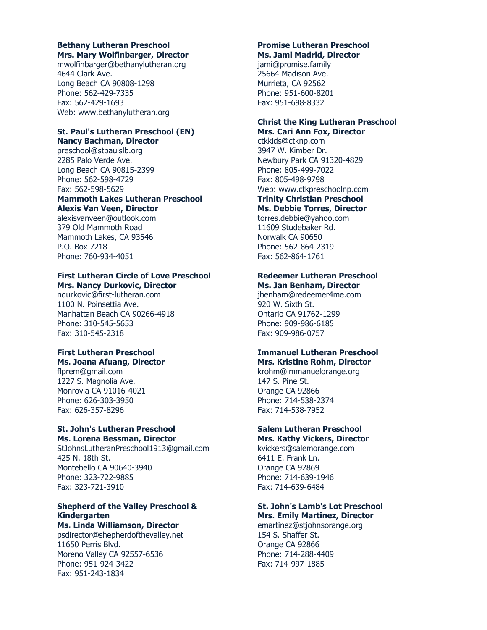#### **Bethany Lutheran Preschool Mrs. Mary Wolfinbarger, Director**

mwolfinbarger@bethanylutheran.org 4644 Clark Ave. Long Beach CA 90808-1298 Phone: 562-429-7335 Fax: 562-429-1693 Web: www.bethanylutheran.org

## **St. Paul's Lutheran Preschool (EN) Nancy Bachman, Director**

preschool@stpaulslb.org 2285 Palo Verde Ave. Long Beach CA 90815-2399 Phone: 562-598-4729 Fax: 562-598-5629

#### **Mammoth Lakes Lutheran Preschool Alexis Van Veen, Director**

alexisvanveen@outlook.com 379 Old Mammoth Road Mammoth Lakes, CA 93546 P.O. Box 7218 Phone: 760-934-4051

# **First Lutheran Circle of Love Preschool**

**Mrs. Nancy Durkovic, Director**  ndurkovic@first-lutheran.com 1100 N. Poinsettia Ave. Manhattan Beach CA 90266-4918 Phone: 310-545-5653 Fax: 310-545-2318

### **First Lutheran Preschool Ms. Joana Afuang, Director**

flprem@gmail.com 1227 S. Magnolia Ave. Monrovia CA 91016-4021 Phone: 626-303-3950 Fax: 626-357-8296

### **St. John's Lutheran Preschool Ms. Lorena Bessman, Director**

StJohnsLutheranPreschool1913@gmail.com 425 N. 18th St. Montebello CA 90640-3940 Phone: 323-722-9885 Fax: 323-721-3910

# **Shepherd of the Valley Preschool & Kindergarten**

**Ms. Linda Williamson, Director**  psdirector@shepherdofthevalley.net 11650 Perris Blvd. Moreno Valley CA 92557-6536 Phone: 951-924-3422 Fax: 951-243-1834

#### **Promise Lutheran Preschool Ms. Jami Madrid, Director**

jami@promise.family 25664 Madison Ave. Murrieta, CA 92562 Phone: 951-600-8201 Fax: 951-698-8332

## **Christ the King Lutheran Preschool Mrs. Cari Ann Fox, Director**

ctkkids@ctknp.com 3947 W. Kimber Dr. Newbury Park CA 91320-4829 Phone: 805-499-7022 Fax: 805-498-9798 Web: www.ctkpreschoolnp.com **Trinity Christian Preschool Ms. Debbie Torres, Director** torres.debbie@yahoo.com 11609 Studebaker Rd. Norwalk CA 90650

Phone: 562-864-2319 Fax: 562-864-1761

# **Redeemer Lutheran Preschool**

**Ms. Jan Benham, Director**  jbenham@redeemer4me.com 920 W. Sixth St. Ontario CA 91762-1299 Phone: 909-986-6185 Fax: 909-986-0757

## **Immanuel Lutheran Preschool Mrs. Kristine Rohm, Director**

krohm@immanuelorange.org 147 S. Pine St. Orange CA 92866 Phone: 714-538-2374 Fax: 714-538-7952

## **Salem Lutheran Preschool Mrs. Kathy Vickers, Director**

kvickers@salemorange.com 6411 E. Frank Ln. Orange CA 92869 Phone: 714-639-1946 Fax: 714-639-6484

# **St. John's Lamb's Lot Preschool Mrs. Emily Martinez, Director**

emartinez@stjohnsorange.org 154 S. Shaffer St. Orange CA 92866 Phone: 714-288-4409 Fax: 714-997-1885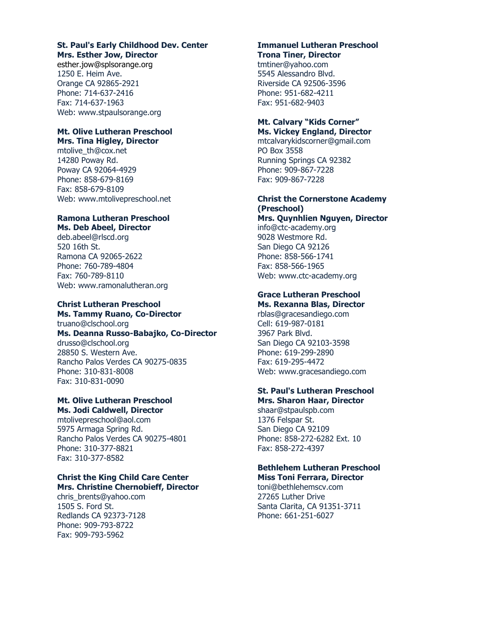# **St. Paul's Early Childhood Dev. Center Mrs. Esther Jow, Director**

esther.jow@splsorange.org 1250 E. Heim Ave. Orange CA 92865-2921 Phone: 714-637-2416 Fax: 714-637-1963 Web: www.stpaulsorange.org

#### **Mt. Olive Lutheran Preschool Mrs. Tina Higley, Director**

mtolive\_th@cox.net 14280 Poway Rd. Poway CA 92064-4929 Phone: 858-679-8169 Fax: 858-679-8109 Web: www.mtolivepreschool.net

## **Ramona Lutheran Preschool Ms. Deb Abeel, Director**

deb.abeel@rlscd.org 520 16th St. Ramona CA 92065-2622 Phone: 760-789-4804 Fax: 760-789-8110 Web: www.ramonalutheran.org

# **Christ Lutheran Preschool**

**Ms. Tammy Ruano, Co-Director** truano@clschool.org

# **Ms. Deanna Russo-Babajko, Co-Director**

drusso@clschool.org 28850 S. Western Ave. Rancho Palos Verdes CA 90275-0835 Phone: 310-831-8008 Fax: 310-831-0090

# **Mt. Olive Lutheran Preschool Ms. Jodi Caldwell, Director**

mtolivepreschool@aol.com 5975 Armaga Spring Rd. Rancho Palos Verdes CA 90275-4801 Phone: 310-377-8821 Fax: 310-377-8582

# **Christ the King Child Care Center Mrs. Christine Chernobieff, Director**

chris\_brents@yahoo.com 1505 S. Ford St. Redlands CA 92373-7128 Phone: 909-793-8722 Fax: 909-793-5962

### **Immanuel Lutheran Preschool Trona Tiner, Director**

tmtiner@yahoo.com 5545 Alessandro Blvd. Riverside CA 92506-3596 Phone: 951-682-4211 Fax: 951-682-9403

# **Mt. Calvary "Kids Corner" Ms. Vickey England, Director**

mtcalvarykidscorner@gmail.com PO Box 3558 Running Springs CA 92382 Phone: 909-867-7228 Fax: 909-867-7228

# **Christ the Cornerstone Academy (Preschool)**

**Mrs. Quynhlien Nguyen, Director**  info@ctc-academy.org 9028 Westmore Rd.

San Diego CA 92126 Phone: 858-566-1741 Fax: 858-566-1965 Web: www.ctc-academy.org

#### **Grace Lutheran Preschool Ms. Rexanna Blas, Director**

rblas@gracesandiego.com Cell: 619-987-0181 3967 Park Blvd. San Diego CA 92103-3598 Phone: 619-299-2890 Fax: 619-295-4472 Web: www.gracesandiego.com

#### **St. Paul's Lutheran Preschool Mrs. Sharon Haar, Director**

shaar@stpaulspb.com 1376 Felspar St. San Diego CA 92109 Phone: 858-272-6282 Ext. 10 Fax: 858-272-4397

#### **Bethlehem Lutheran Preschool Miss Toni Ferrara, Director**

toni@bethlehemscv.com 27265 Luther Drive Santa Clarita, CA 91351-3711 Phone: 661-251-6027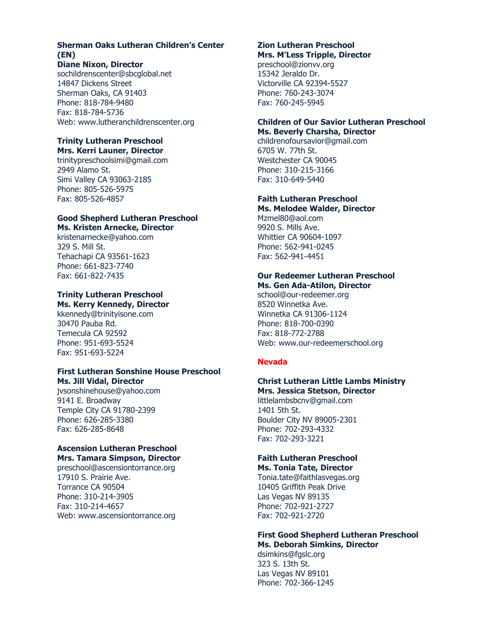# **Sherman Oaks Lutheran Children's Center (EN)**

## **Diane Nixon, Director**

sochildrenscenter@sbcglobal.net 14847 Dickens Street Sherman Oaks, CA 91403 Phone: 818-784-9480 Fax: 818-784-5736 Web: www.lutheranchildrenscenter.org

# **Trinity Lutheran Preschool**

**Mrs. Kerri Launer, Director** trinitypreschoolsimi@gmail.com 2949 Alamo St. Simi Valley CA 93063-2185 Phone: 805-526-5975 Fax: 805-526-4857

## **Good Shepherd Lutheran Preschool Ms. Kristen Arnecke, Director**

kristenarnecke@yahoo.com 329 S. Mill St. Tehachapi CA 93561-1623 Phone: 661-823-7740 Fax: 661-822-7435

## **Trinity Lutheran Preschool Ms. Kerry Kennedy, Director**

kkennedy@trinityisone.com 30470 Pauba Rd. Temecula CA 92592 Phone: 951-693-5524 Fax: 951-693-5224

## **First Lutheran Sonshine House Preschool Ms. Jill Vidal, Director**

jvsonshinehouse@yahoo.com 9141 E. Broadway Temple City CA 91780-2399 Phone: 626-285-3380 Fax: 626-285-8648

# **Ascension Lutheran Preschool Mrs. Tamara Simpson, Director**

preschool@ascensiontorrance.org 17910 S. Prairie Ave. Torrance CA 90504 Phone: 310-214-3905 Fax: 310-214-4657 Web: www.ascensiontorrance.org

#### **Zion Lutheran Preschool Mrs. M'Less Tripple, Director**

preschool@zionvv.org 15342 Jeraldo Dr. Victorville CA 92394-5527 Phone: 760-243-3074 Fax: 760-245-5945

# **Children of Our Savior Lutheran Preschool Ms. Beverly Charsha, Director**

childrenofoursavior@gmail.com 6705 W. 77th St. Westchester CA 90045 Phone: 310-215-3166 Fax: 310-649-5440

#### **Faith Lutheran Preschool Ms. Melodee Walder, Director**

Mzmel80@aol.com 9920 S. Mills Ave. Whittier CA 90604-1097 Phone: 562-941-0245 Fax: 562-941-4451

# **Our Redeemer Lutheran Preschool**

**Ms. Gen Ada-Atilon, Director**  school@our-redeemer.org 8520 Winnetka Ave. Winnetka CA 91306-1124 Phone: 818-700-0390 Fax: 818-772-2788 Web: www.our-redeemerschool.org

# **Nevada**

# **Christ Lutheran Little Lambs Ministry**

**Mrs. Jessica Stetson, Director** littlelambsbcnv@gmail.com 1401 5th St. Boulder City NV 89005-2301 Phone: 702-293-4332 Fax: 702-293-3221

#### **Faith Lutheran Preschool Ms. Tonia Tate, Director**

Tonia.tate@faithlasvegas.org 10405 Griffith Peak Drive Las Vegas NV 89135 Phone: 702-921-2727 Fax: 702-921-2720

## **First Good Shepherd Lutheran Preschool Ms. Deborah Simkins, Director**

dsimkins@fgslc.org 323 S. 13th St. Las Vegas NV 89101 Phone: 702-366-1245